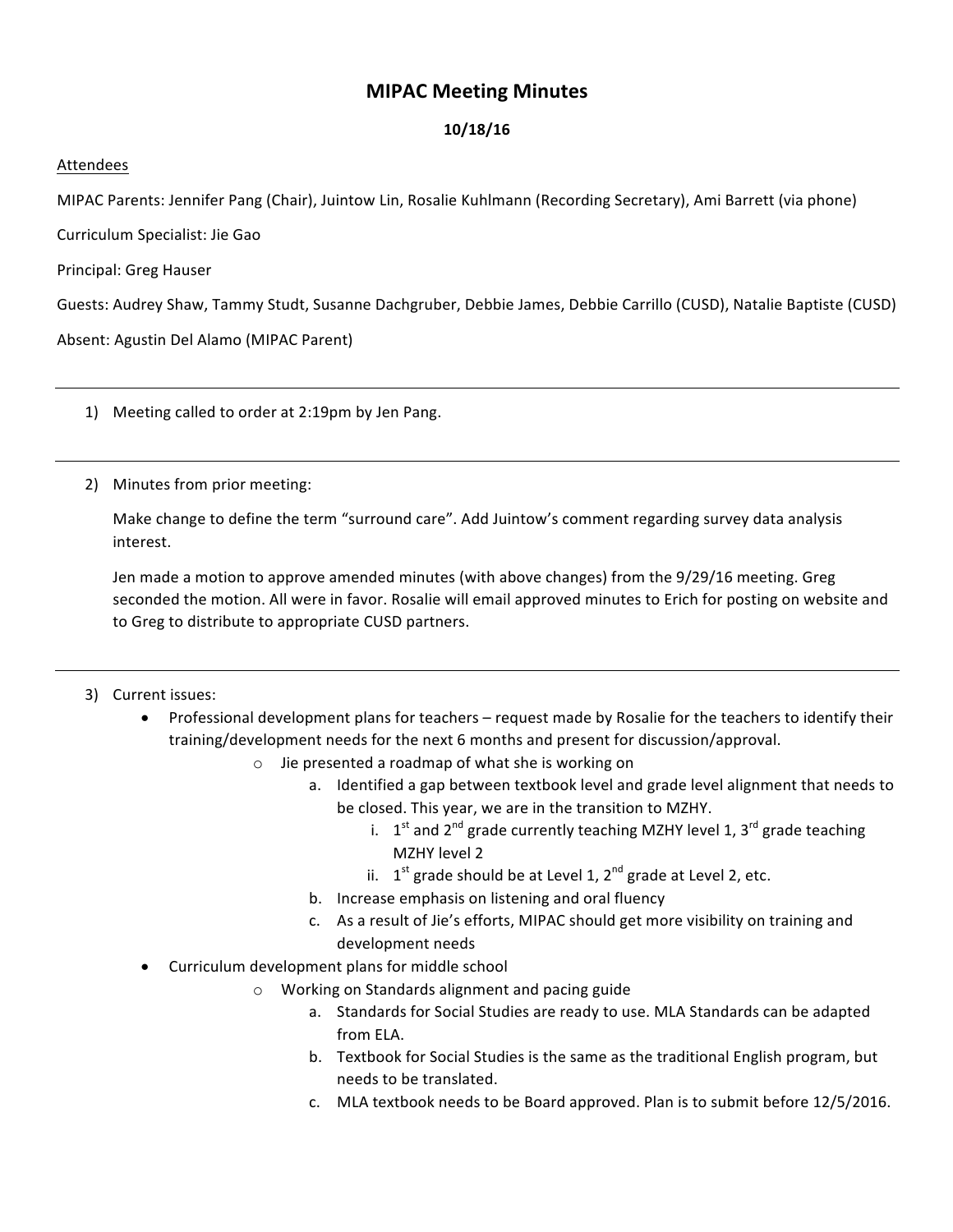## **MIPAC Meeting Minutes**

## **10/18/16**

## Attendees

MIPAC Parents: Jennifer Pang (Chair), Juintow Lin, Rosalie Kuhlmann (Recording Secretary), Ami Barrett (via phone)

Curriculum Specialist: Jie Gao

Principal: Greg Hauser

Guests: Audrey Shaw, Tammy Studt, Susanne Dachgruber, Debbie James, Debbie Carrillo (CUSD), Natalie Baptiste (CUSD)

Absent: Agustin Del Alamo (MIPAC Parent)

1) Meeting called to order at 2:19pm by Jen Pang.

2) Minutes from prior meeting:

Make change to define the term "surround care". Add Juintow's comment regarding survey data analysis interest.

Jen made a motion to approve amended minutes (with above changes) from the 9/29/16 meeting. Greg seconded the motion. All were in favor. Rosalie will email approved minutes to Erich for posting on website and to Greg to distribute to appropriate CUSD partners.

## 3) Current issues:

- Professional development plans for teachers request made by Rosalie for the teachers to identify their training/development needs for the next 6 months and present for discussion/approval.
	- $\circ$  Jie presented a roadmap of what she is working on
		- a. Identified a gap between textbook level and grade level alignment that needs to be closed. This year, we are in the transition to MZHY.
			- i.  $1<sup>st</sup>$  and  $2<sup>nd</sup>$  grade currently teaching MZHY level 1, 3<sup>rd</sup> grade teaching MZHY level 2
			- ii.  $1^{st}$  grade should be at Level 1,  $2^{nd}$  grade at Level 2, etc.
		- b. Increase emphasis on listening and oral fluency
		- c. As a result of Jie's efforts, MIPAC should get more visibility on training and development needs
- Curriculum development plans for middle school
	- $\circ$  Working on Standards alignment and pacing guide
		- a. Standards for Social Studies are ready to use. MLA Standards can be adapted from ELA.
		- b. Textbook for Social Studies is the same as the traditional English program, but needs to be translated.
		- c. MLA textbook needs to be Board approved. Plan is to submit before 12/5/2016.